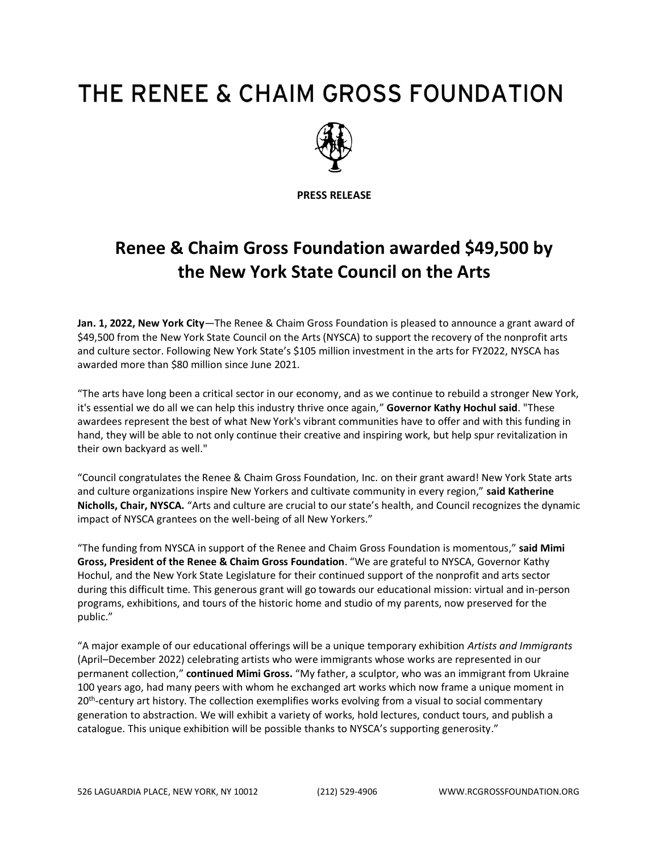## THE RENEE & CHAIM GROSS FOUNDATION



**PRESS RELEASE**

## **Renee & Chaim Gross Foundation awarded \$49,500 by the New York State Council on the Arts**

**Jan. 1, 2022, New York City**—The Renee & Chaim Gross Foundation is pleased to announce a grant award of \$49,500 from the New York State Council on the Arts (NYSCA) to support the recovery of the nonprofit arts and culture sector. Following New York State's \$105 million investment in the arts for FY2022, NYSCA has awarded more than \$80 million since June 2021.

"The arts have long been a critical sector in our economy, and as we continue to rebuild a stronger New York, it's essential we do all we can help this industry thrive once again," **Governor Kathy Hochul said**. "These awardees represent the best of what New York's vibrant communities have to offer and with this funding in hand, they will be able to not only continue their creative and inspiring work, but help spur revitalization in their own backyard as well."

"Council congratulates the Renee & Chaim Gross Foundation, Inc. on their grant award! New York State arts and culture organizations inspire New Yorkers and cultivate community in every region," **said Katherine Nicholls, Chair, NYSCA.** "Arts and culture are crucial to our state's health, and Council recognizes the dynamic impact of NYSCA grantees on the well-being of all New Yorkers."

"The funding from NYSCA in support of the Renee and Chaim Gross Foundation is momentous," **said Mimi Gross, President of the Renee & Chaim Gross Foundation**. "We are grateful to NYSCA, Governor Kathy Hochul, and the New York State Legislature for their continued support of the nonprofit and arts sector during this difficult time. This generous grant will go towards our educational mission: virtual and in-person programs, exhibitions, and tours of the historic home and studio of my parents, now preserved for the public."

"A major example of our educational offerings will be a unique temporary exhibition *Artists and Immigrants* (April–December 2022) celebrating artists who were immigrants whose works are represented in our permanent collection," **continued Mimi Gross.** "My father, a sculptor, who was an immigrant from Ukraine 100 years ago, had many peers with whom he exchanged art works which now frame a unique moment in 20<sup>th</sup>-century art history. The collection exemplifies works evolving from a visual to social commentary generation to abstraction. We will exhibit a variety of works, hold lectures, conduct tours, and publish a catalogue. This unique exhibition will be possible thanks to NYSCA's supporting generosity."